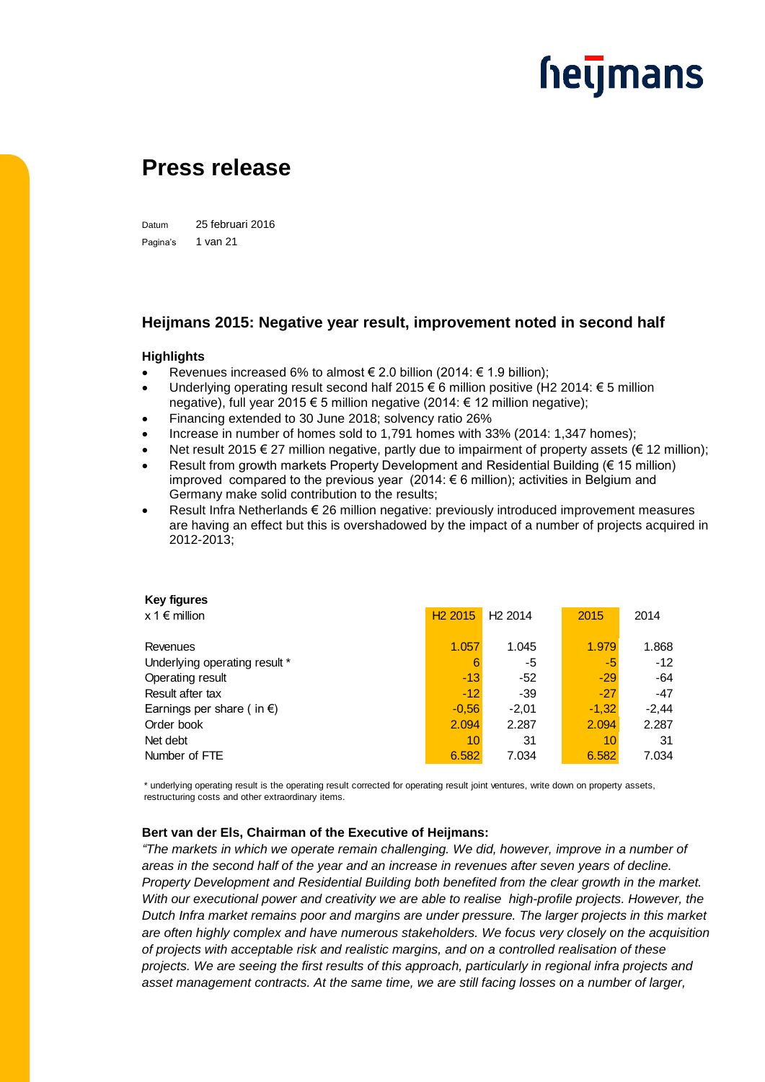### **Press release**

Datum 25 februari 2016 Pagina's 1 van 21

#### **Heijmans 2015: Negative year result, improvement noted in second half**

#### **Highlights**

- Revenues increased 6% to almost € 2.0 billion (2014: € 1.9 billion);
- Underlying operating result second half 2015 € 6 million positive (H2 2014: € 5 million negative), full year 2015 € 5 million negative (2014: € 12 million negative);
- Financing extended to 30 June 2018; solvency ratio 26%
- Increase in number of homes sold to 1,791 homes with 33% (2014: 1,347 homes);
- Net result 2015 € 27 million negative, partly due to impairment of property assets (€ 12 million):
- Result from growth markets Property Development and Residential Building ( $\epsilon$  15 million) improved compared to the previous year (2014: € 6 million); activities in Belgium and Germany make solid contribution to the results;
- Result Infra Netherlands € 26 million negative: previously introduced improvement measures are having an effect but this is overshadowed by the impact of a number of projects acquired in 2012-2013;

| <b>Key figures</b>                  |                     |                     |         |         |
|-------------------------------------|---------------------|---------------------|---------|---------|
| $x 1 \in$ million                   | H <sub>2</sub> 2015 | H <sub>2</sub> 2014 | 2015    | 2014    |
| Revenues                            | 1.057               | 1.045               | 1.979   | 1.868   |
| Underlying operating result *       | 6                   | -5                  | -5      | $-12$   |
| Operating result                    | $-13$               | -52                 | $-29$   | $-64$   |
| Result after tax                    | $-12$               | $-39$               | $-27$   | $-47$   |
| Earnings per share (in $\epsilon$ ) | $-0.56$             | $-2.01$             | $-1,32$ | $-2,44$ |
| Order book                          | 2.094               | 2.287               | 2.094   | 2.287   |
| Net debt                            | 10                  | 31                  | 10      | 31      |
| Number of FTE                       | 6.582               | 7.034               | 6.582   | 7.034   |

\* underlying operating result is the operating result corrected for operating result joint ventures, write down on property assets, restructuring costs and other extraordinary items.

#### **Bert van der Els, Chairman of the Executive of Heijmans:**

*"The markets in which we operate remain challenging. We did, however, improve in a number of areas in the second half of the year and an increase in revenues after seven years of decline. Property Development and Residential Building both benefited from the clear growth in the market. With our executional power and creativity we are able to realise high-profile projects. However, the Dutch Infra market remains poor and margins are under pressure. The larger projects in this market are often highly complex and have numerous stakeholders. We focus very closely on the acquisition of projects with acceptable risk and realistic margins, and on a controlled realisation of these projects. We are seeing the first results of this approach, particularly in regional infra projects and asset management contracts. At the same time, we are still facing losses on a number of larger,*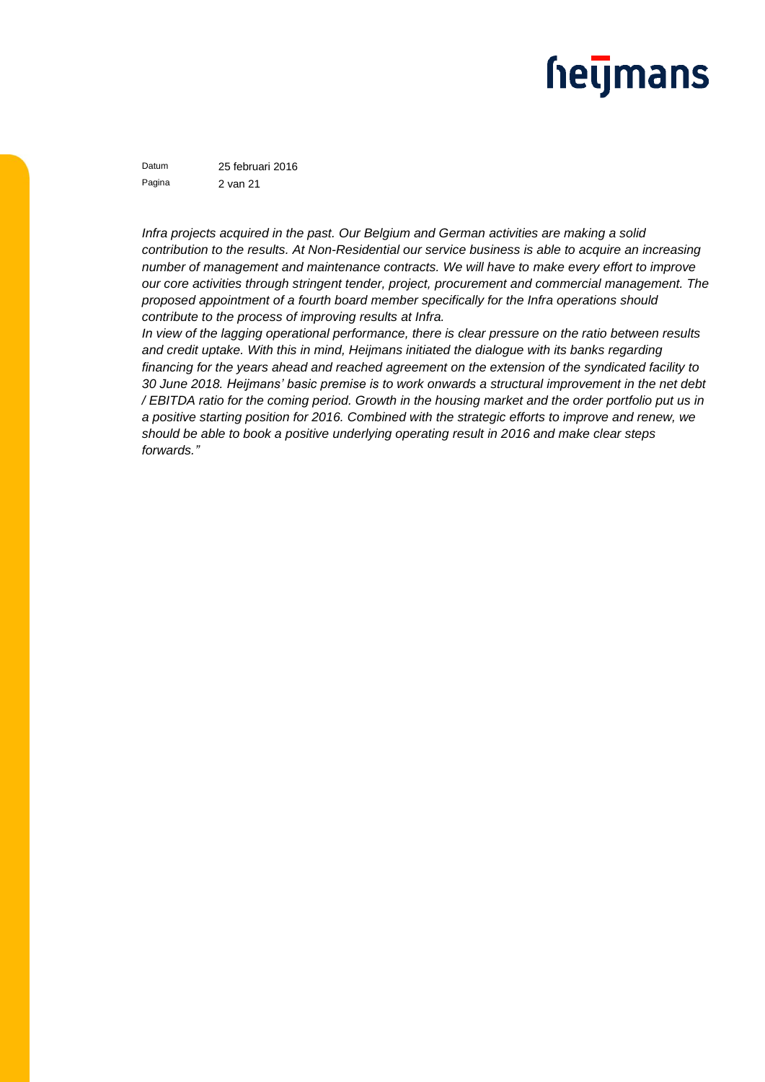### **hetjmans**

Datum 25 februari 2016 Pagina 2 van 21

*Infra projects acquired in the past. Our Belgium and German activities are making a solid contribution to the results. At Non-Residential our service business is able to acquire an increasing number of management and maintenance contracts. We will have to make every effort to improve our core activities through stringent tender, project, procurement and commercial management. The proposed appointment of a fourth board member specifically for the Infra operations should contribute to the process of improving results at Infra.* 

*In view of the lagging operational performance, there is clear pressure on the ratio between results and credit uptake. With this in mind, Heijmans initiated the dialogue with its banks regarding financing for the years ahead and reached agreement on the extension of the syndicated facility to 30 June 2018. Heijmans' basic premise is to work onwards a structural improvement in the net debt / EBITDA ratio for the coming period. Growth in the housing market and the order portfolio put us in a positive starting position for 2016. Combined with the strategic efforts to improve and renew, we should be able to book a positive underlying operating result in 2016 and make clear steps forwards."*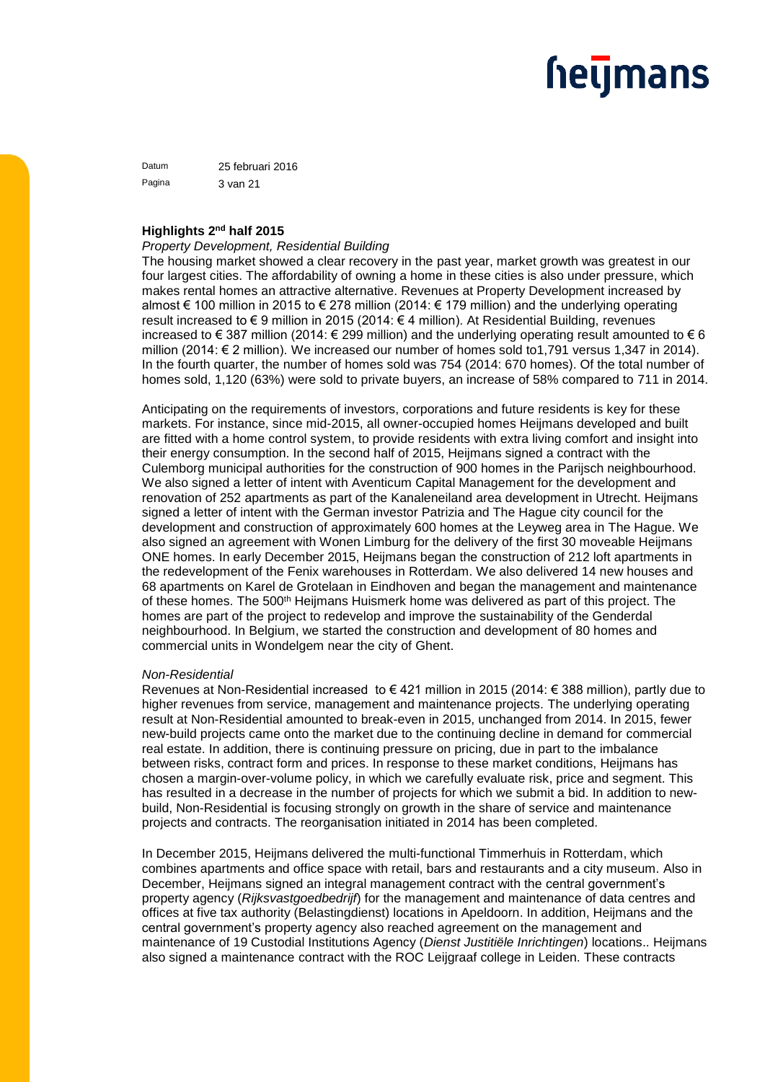### <u>heljmans</u>

Datum 25 februari 2016 Pagina 3 van 21

#### **Highlights 2nd half 2015**

#### *Property Development, Residential Building*

The housing market showed a clear recovery in the past year, market growth was greatest in our four largest cities. The affordability of owning a home in these cities is also under pressure, which makes rental homes an attractive alternative. Revenues at Property Development increased by almost € 100 million in 2015 to € 278 million (2014: € 179 million) and the underlying operating result increased to € 9 million in 2015 (2014: € 4 million). At Residential Building, revenues increased to € 387 million (2014: € 299 million) and the underlying operating result amounted to € 6 million (2014: € 2 million). We increased our number of homes sold to1,791 versus 1,347 in 2014). In the fourth quarter, the number of homes sold was 754 (2014: 670 homes). Of the total number of homes sold, 1,120 (63%) were sold to private buyers, an increase of 58% compared to 711 in 2014.

Anticipating on the requirements of investors, corporations and future residents is key for these markets. For instance, since mid-2015, all owner-occupied homes Heijmans developed and built are fitted with a home control system, to provide residents with extra living comfort and insight into their energy consumption. In the second half of 2015, Heijmans signed a contract with the Culemborg municipal authorities for the construction of 900 homes in the Parijsch neighbourhood. We also signed a letter of intent with Aventicum Capital Management for the development and renovation of 252 apartments as part of the Kanaleneiland area development in Utrecht. Heijmans signed a letter of intent with the German investor Patrizia and The Hague city council for the development and construction of approximately 600 homes at the Leyweg area in The Hague. We also signed an agreement with Wonen Limburg for the delivery of the first 30 moveable Heijmans ONE homes. In early December 2015, Heijmans began the construction of 212 loft apartments in the redevelopment of the Fenix warehouses in Rotterdam. We also delivered 14 new houses and 68 apartments on Karel de Grotelaan in Eindhoven and began the management and maintenance of these homes. The 500<sup>th</sup> Heijmans Huismerk home was delivered as part of this project. The homes are part of the project to redevelop and improve the sustainability of the Genderdal neighbourhood. In Belgium, we started the construction and development of 80 homes and commercial units in Wondelgem near the city of Ghent.

#### *Non-Residential*

Revenues at Non-Residential increased to € 421 million in 2015 (2014: € 388 million), partly due to higher revenues from service, management and maintenance projects. The underlying operating result at Non-Residential amounted to break-even in 2015, unchanged from 2014. In 2015, fewer new-build projects came onto the market due to the continuing decline in demand for commercial real estate. In addition, there is continuing pressure on pricing, due in part to the imbalance between risks, contract form and prices. In response to these market conditions, Heijmans has chosen a margin-over-volume policy, in which we carefully evaluate risk, price and segment. This has resulted in a decrease in the number of projects for which we submit a bid. In addition to newbuild, Non-Residential is focusing strongly on growth in the share of service and maintenance projects and contracts. The reorganisation initiated in 2014 has been completed.

In December 2015, Heijmans delivered the multi-functional Timmerhuis in Rotterdam, which combines apartments and office space with retail, bars and restaurants and a city museum. Also in December, Heijmans signed an integral management contract with the central government's property agency (*Rijksvastgoedbedrijf*) for the management and maintenance of data centres and offices at five tax authority (Belastingdienst) locations in Apeldoorn. In addition, Heijmans and the central government's property agency also reached agreement on the management and maintenance of 19 Custodial Institutions Agency (*Dienst Justitiële Inrichtingen*) locations.. Heijmans also signed a maintenance contract with the ROC Leijgraaf college in Leiden. These contracts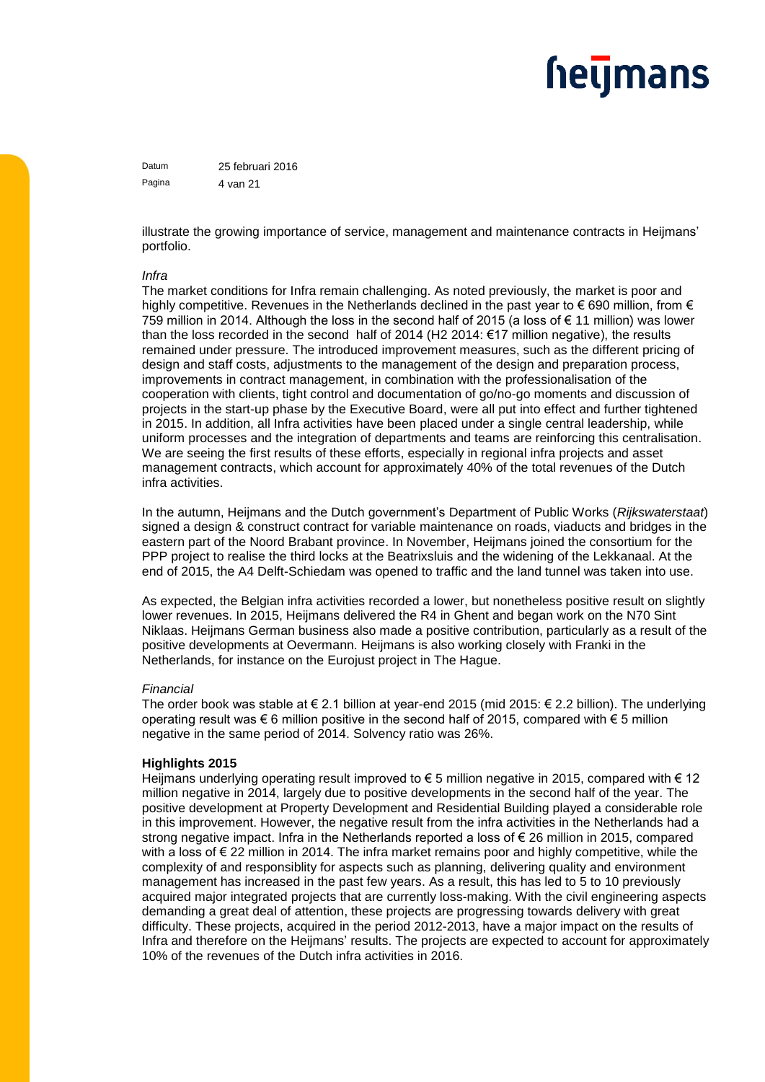### <u>heljmans</u>

Datum 25 februari 2016 Pagina 4 van 21

illustrate the growing importance of service, management and maintenance contracts in Heijmans' portfolio.

#### *Infra*

The market conditions for Infra remain challenging. As noted previously, the market is poor and highly competitive. Revenues in the Netherlands declined in the past year to  $\epsilon$  690 million, from  $\epsilon$ 759 million in 2014. Although the loss in the second half of 2015 (a loss of € 11 million) was lower than the loss recorded in the second half of 2014 (H2 2014:  $\epsilon$ 17 million negative), the results remained under pressure. The introduced improvement measures, such as the different pricing of design and staff costs, adjustments to the management of the design and preparation process, improvements in contract management, in combination with the professionalisation of the cooperation with clients, tight control and documentation of go/no-go moments and discussion of projects in the start-up phase by the Executive Board, were all put into effect and further tightened in 2015. In addition, all Infra activities have been placed under a single central leadership, while uniform processes and the integration of departments and teams are reinforcing this centralisation. We are seeing the first results of these efforts, especially in regional infra projects and asset management contracts, which account for approximately 40% of the total revenues of the Dutch infra activities.

In the autumn, Heijmans and the Dutch government's Department of Public Works (*Rijkswaterstaat*) signed a design & construct contract for variable maintenance on roads, viaducts and bridges in the eastern part of the Noord Brabant province. In November, Heijmans joined the consortium for the PPP project to realise the third locks at the Beatrixsluis and the widening of the Lekkanaal. At the end of 2015, the A4 Delft-Schiedam was opened to traffic and the land tunnel was taken into use.

As expected, the Belgian infra activities recorded a lower, but nonetheless positive result on slightly lower revenues. In 2015, Heijmans delivered the R4 in Ghent and began work on the N70 Sint Niklaas. Heijmans German business also made a positive contribution, particularly as a result of the positive developments at Oevermann. Heijmans is also working closely with Franki in the Netherlands, for instance on the Eurojust project in The Hague.

#### *Financial*

The order book was stable at € 2.1 billion at year-end 2015 (mid 2015: € 2.2 billion). The underlying operating result was  $\epsilon$  6 million positive in the second half of 2015, compared with  $\epsilon$  5 million negative in the same period of 2014. Solvency ratio was 26%.

#### **Highlights 2015**

Heijmans underlying operating result improved to € 5 million negative in 2015, compared with € 12 million negative in 2014, largely due to positive developments in the second half of the year. The positive development at Property Development and Residential Building played a considerable role in this improvement. However, the negative result from the infra activities in the Netherlands had a strong negative impact. Infra in the Netherlands reported a loss of  $\epsilon$  26 million in 2015, compared with a loss of € 22 million in 2014. The infra market remains poor and highly competitive, while the complexity of and responsiblity for aspects such as planning, delivering quality and environment management has increased in the past few years. As a result, this has led to 5 to 10 previously acquired major integrated projects that are currently loss-making. With the civil engineering aspects demanding a great deal of attention, these projects are progressing towards delivery with great difficulty. These projects, acquired in the period 2012-2013, have a major impact on the results of Infra and therefore on the Heijmans' results. The projects are expected to account for approximately 10% of the revenues of the Dutch infra activities in 2016.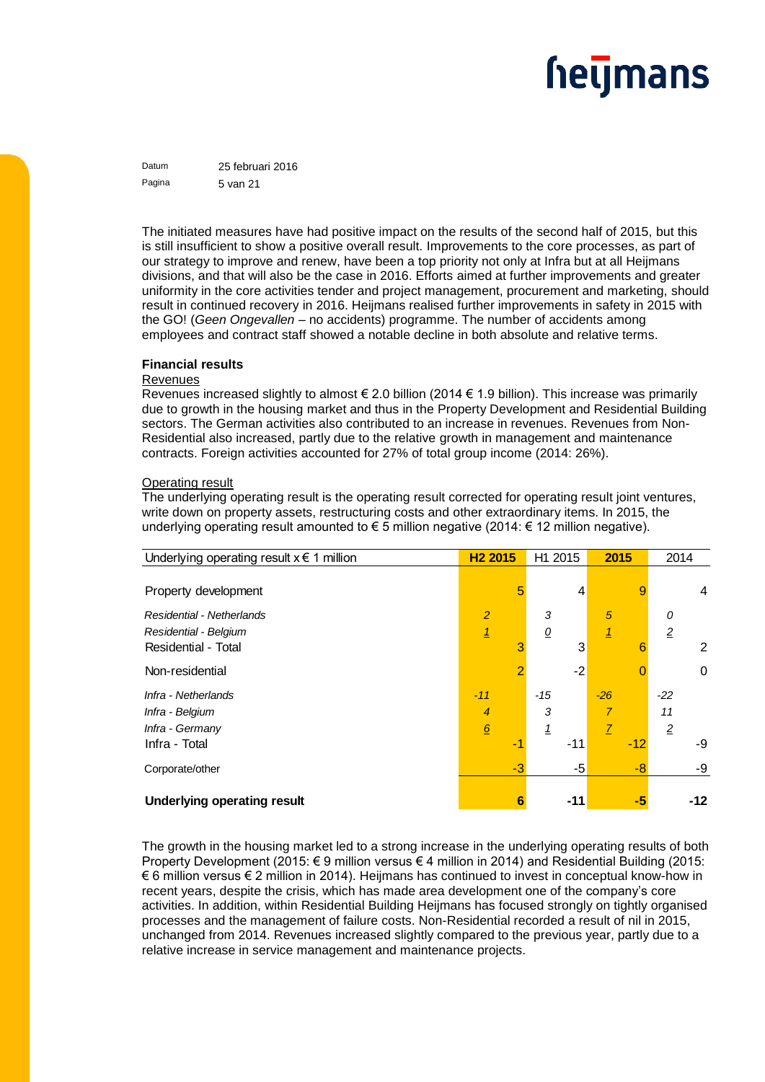Datum 25 februari 2016 Pagina 5 van 21

The initiated measures have had positive impact on the results of the second half of 2015, but this is still insufficient to show a positive overall result. Improvements to the core processes, as part of our strategy to improve and renew, have been a top priority not only at Infra but at all Heijmans divisions, and that will also be the case in 2016. Efforts aimed at further improvements and greater uniformity in the core activities tender and project management, procurement and marketing, should result in continued recovery in 2016. Heijmans realised further improvements in safety in 2015 with the GO! (*Geen Ongevallen* – no accidents) programme. The number of accidents among employees and contract staff showed a notable decline in both absolute and relative terms.

#### **Financial results**

#### **Revenues**

Revenues increased slightly to almost  $\epsilon$  2.0 billion (2014  $\epsilon$  1.9 billion). This increase was primarily due to growth in the housing market and thus in the Property Development and Residential Building sectors. The German activities also contributed to an increase in revenues. Revenues from Non-Residential also increased, partly due to the relative growth in management and maintenance contracts. Foreign activities accounted for 27% of total group income (2014: 26%).

#### Operating result

The underlying operating result is the operating result corrected for operating result joint ventures, write down on property assets, restructuring costs and other extraordinary items. In 2015, the underlying operating result amounted to € 5 million negative (2014: € 12 million negative).

| Underlying operating result $x \in 1$ million | H <sub>2</sub> 2015 |      | H1 2015                  |       | 2015           |       | 2014           |                |
|-----------------------------------------------|---------------------|------|--------------------------|-------|----------------|-------|----------------|----------------|
|                                               |                     |      |                          |       |                |       |                |                |
| Property development                          |                     | 5    |                          | 4     |                | 9     |                | 4              |
| Residential - Netherlands                     | $\overline{2}$      |      | 3                        |       | 5              |       | 0              |                |
| Residential - Belgium                         | <u> 1</u>           |      | $\overline{\mathcal{O}}$ |       | $\overline{1}$ |       | $\overline{2}$ |                |
| Residential - Total                           |                     | 3    |                          | 3     |                | 6     |                | $\overline{2}$ |
| Non-residential                               |                     | 2    |                          | $-2$  |                |       |                | 0              |
| Infra - Netherlands                           | $-11$               |      | -15                      |       | $-26$          |       | $-22$          |                |
| Infra - Belgium                               | 4                   |      | 3                        |       | 7              |       | 11             |                |
| Infra - Germany                               | $6 \overline{6}$    |      |                          |       | 7              |       | $\overline{2}$ |                |
| Infra - Total                                 |                     | -1   |                          | $-11$ |                | $-12$ |                | -9             |
| Corporate/other                               |                     | $-3$ |                          | -5    |                | -8    |                | -9             |
|                                               |                     |      |                          |       |                |       |                |                |
| <b>Underlying operating result</b>            |                     | 6    |                          | -11   |                | -5    |                | -12            |

The growth in the housing market led to a strong increase in the underlying operating results of both Property Development (2015: € 9 million versus € 4 million in 2014) and Residential Building (2015: € 6 million versus € 2 million in 2014). Heijmans has continued to invest in conceptual know-how in recent years, despite the crisis, which has made area development one of the company's core activities. In addition, within Residential Building Heijmans has focused strongly on tightly organised processes and the management of failure costs. Non-Residential recorded a result of nil in 2015, unchanged from 2014. Revenues increased slightly compared to the previous year, partly due to a relative increase in service management and maintenance projects.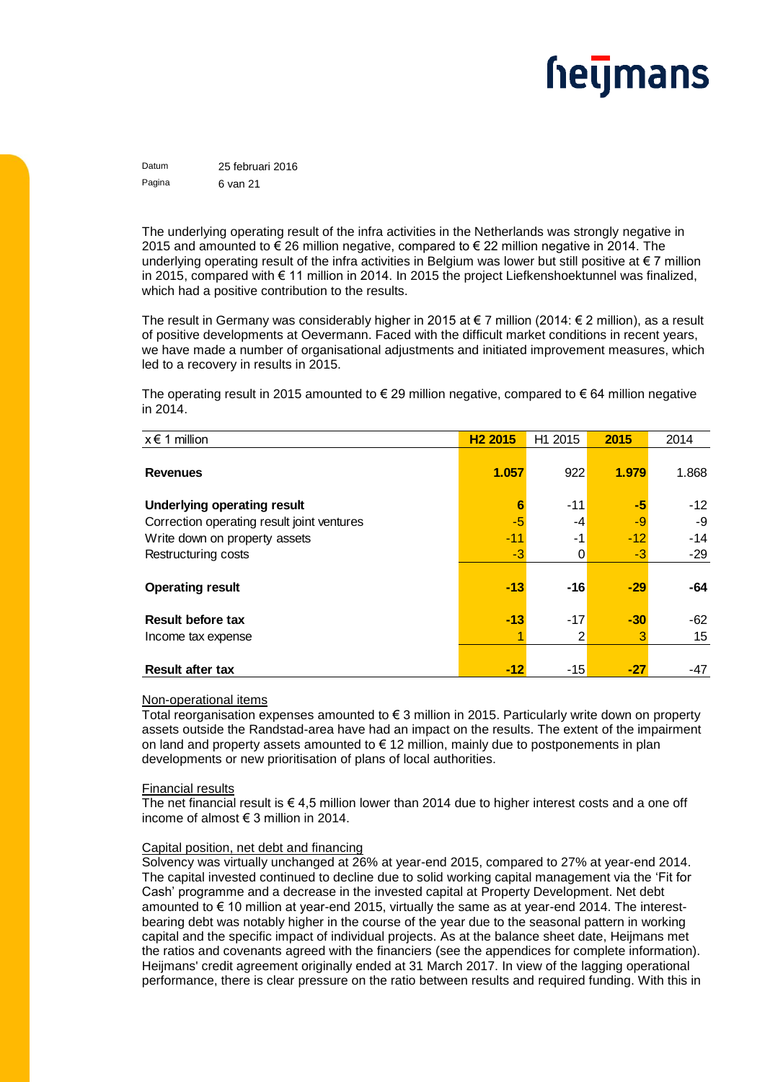## <u>heymans</u>

Datum 25 februari 2016 Pagina 6 van 21

The underlying operating result of the infra activities in the Netherlands was strongly negative in 2015 and amounted to € 26 million negative, compared to € 22 million negative in 2014. The underlying operating result of the infra activities in Belgium was lower but still positive at  $\epsilon$  7 million in 2015, compared with € 11 million in 2014. In 2015 the project Liefkenshoektunnel was finalized, which had a positive contribution to the results.

The result in Germany was considerably higher in 2015 at  $\epsilon$  7 million (2014:  $\epsilon$  2 million), as a result of positive developments at Oevermann. Faced with the difficult market conditions in recent years, we have made a number of organisational adjustments and initiated improvement measures, which led to a recovery in results in 2015.

The operating result in 2015 amounted to € 29 million negative, compared to € 64 million negative in 2014.

| $x \in 1$ million                          | H <sub>2</sub> 2015 | H1 2015 | 2015  | 2014  |
|--------------------------------------------|---------------------|---------|-------|-------|
| <b>Revenues</b>                            | 1.057               | 922     | 1.979 | 1.868 |
| <b>Underlying operating result</b>         | 6                   | $-11$   | -5    | $-12$ |
| Correction operating result joint ventures | -5                  | -4      | -9    | -9    |
| Write down on property assets              | $-11$               | -1      | $-12$ | $-14$ |
| Restructuring costs                        | -3                  | 0       | $-3$  | $-29$ |
| <b>Operating result</b>                    | $-13$               | $-16$   | $-29$ | -64   |
| <b>Result before tax</b>                   | $-13$               | $-17$   | $-30$ | $-62$ |
| Income tax expense                         |                     | 2       | 3     | 15    |
| <b>Result after tax</b>                    | -12                 | $-15$   | -27   | -47   |

#### Non-operational items

Total reorganisation expenses amounted to  $\epsilon$  3 million in 2015. Particularly write down on property assets outside the Randstad-area have had an impact on the results. The extent of the impairment on land and property assets amounted to  $\epsilon$  12 million, mainly due to postponements in plan developments or new prioritisation of plans of local authorities.

#### Financial results

The net financial result is  $\epsilon$  4,5 million lower than 2014 due to higher interest costs and a one off income of almost € 3 million in 2014.

#### Capital position, net debt and financing

Solvency was virtually unchanged at 26% at year-end 2015, compared to 27% at year-end 2014. The capital invested continued to decline due to solid working capital management via the 'Fit for Cash' programme and a decrease in the invested capital at Property Development. Net debt amounted to € 10 million at year-end 2015, virtually the same as at year-end 2014. The interestbearing debt was notably higher in the course of the year due to the seasonal pattern in working capital and the specific impact of individual projects. As at the balance sheet date, Heijmans met the ratios and covenants agreed with the financiers (see the appendices for complete information). Heijmans' credit agreement originally ended at 31 March 2017. In view of the lagging operational performance, there is clear pressure on the ratio between results and required funding. With this in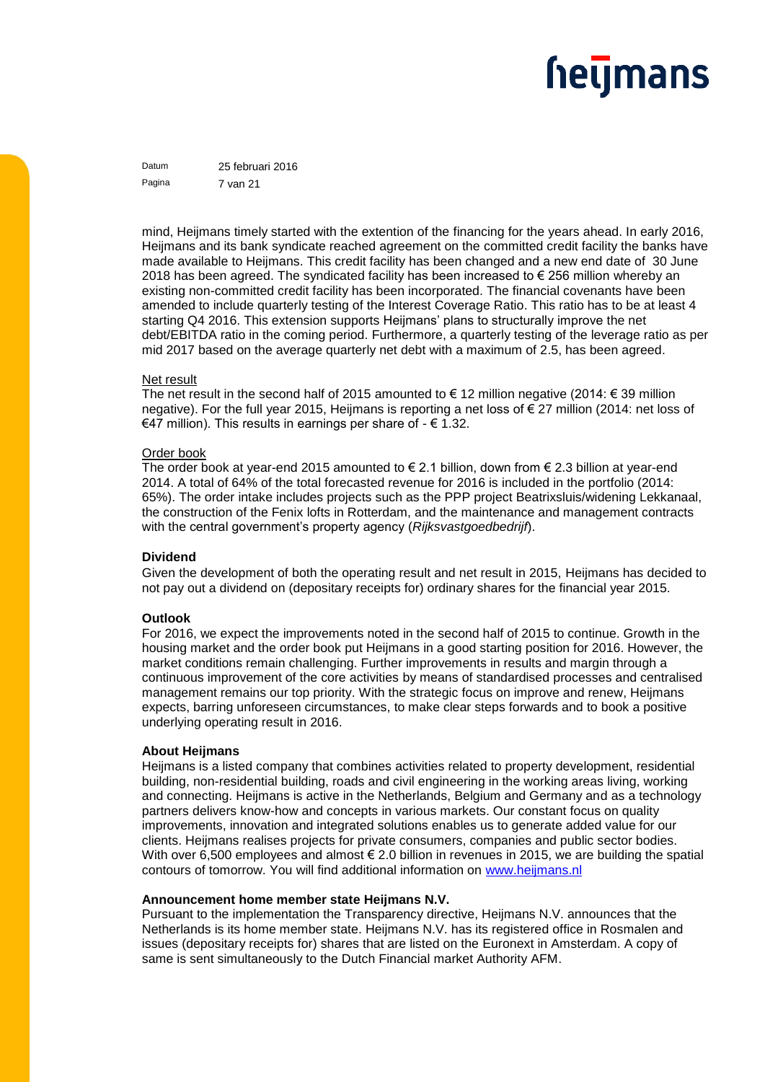### <u>heljmans</u>

Datum 25 februari 2016 Pagina 7 van 21

mind, Heijmans timely started with the extention of the financing for the years ahead. In early 2016, Heijmans and its bank syndicate reached agreement on the committed credit facility the banks have made available to Heijmans. This credit facility has been changed and a new end date of 30 June 2018 has been agreed. The syndicated facility has been increased to € 256 million whereby an existing non-committed credit facility has been incorporated. The financial covenants have been amended to include quarterly testing of the Interest Coverage Ratio. This ratio has to be at least 4 starting Q4 2016. This extension supports Heijmans' plans to structurally improve the net debt/EBITDA ratio in the coming period. Furthermore, a quarterly testing of the leverage ratio as per mid 2017 based on the average quarterly net debt with a maximum of 2.5, has been agreed.

#### Net result

The net result in the second half of 2015 amounted to € 12 million negative (2014: € 39 million negative). For the full year 2015, Heijmans is reporting a net loss of € 27 million (2014: net loss of €47 million). This results in earnings per share of  $-$  € 1.32.

#### Order book

The order book at year-end 2015 amounted to  $\epsilon$  2.1 billion, down from  $\epsilon$  2.3 billion at year-end 2014. A total of 64% of the total forecasted revenue for 2016 is included in the portfolio (2014: 65%). The order intake includes projects such as the PPP project Beatrixsluis/widening Lekkanaal, the construction of the Fenix lofts in Rotterdam, and the maintenance and management contracts with the central government's property agency (*Rijksvastgoedbedrijf*).

#### **Dividend**

Given the development of both the operating result and net result in 2015, Heijmans has decided to not pay out a dividend on (depositary receipts for) ordinary shares for the financial year 2015.

#### **Outlook**

For 2016, we expect the improvements noted in the second half of 2015 to continue. Growth in the housing market and the order book put Heijmans in a good starting position for 2016. However, the market conditions remain challenging. Further improvements in results and margin through a continuous improvement of the core activities by means of standardised processes and centralised management remains our top priority. With the strategic focus on improve and renew, Heijmans expects, barring unforeseen circumstances, to make clear steps forwards and to book a positive underlying operating result in 2016.

#### **About Heijmans**

Heijmans is a listed company that combines activities related to property development, residential building, non-residential building, roads and civil engineering in the working areas living, working and connecting. Heijmans is active in the Netherlands, Belgium and Germany and as a technology partners delivers know-how and concepts in various markets. Our constant focus on quality improvements, innovation and integrated solutions enables us to generate added value for our clients. Heijmans realises projects for private consumers, companies and public sector bodies. With over 6,500 employees and almost € 2.0 billion in revenues in 2015, we are building the spatial contours of tomorrow. You will find additional information on [www.heijmans.nl](http://www.heijmans.nl/)

#### **Announcement home member state Heijmans N.V.**

Pursuant to the implementation the Transparency directive, Heijmans N.V. announces that the Netherlands is its home member state. Heijmans N.V. has its registered office in Rosmalen and issues (depositary receipts for) shares that are listed on the Euronext in Amsterdam. A copy of same is sent simultaneously to the Dutch Financial market Authority AFM.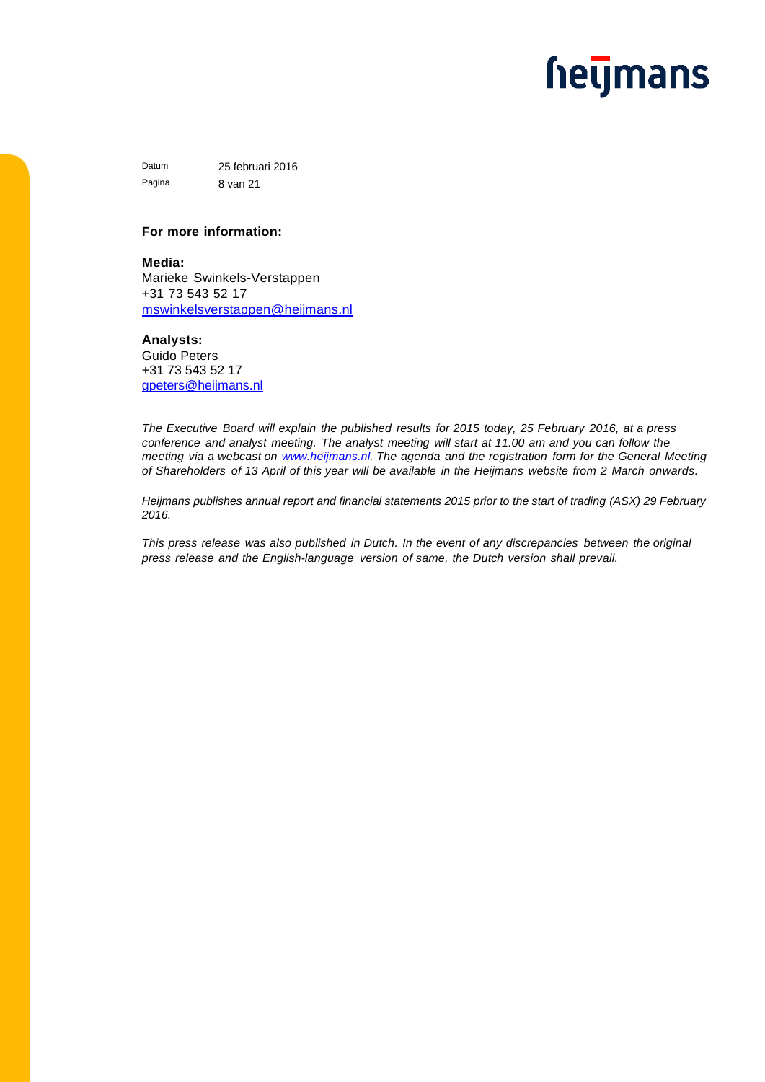### **hetjmans**

Datum 25 februari 2016 Pagina 8 van 21

#### **For more information:**

**Media:** Marieke Swinkels-Verstappen +31 73 543 52 17 [mswinkelsverstappen@heijmans.nl](mailto:mswinkelsverstappen@heijmans.nl)

#### **Analysts:**

Guido Peters +31 73 543 52 17 [gpeters@heijmans.nl](mailto:gpeters@heijmans.nl)

*The Executive Board will explain the published results for 2015 today, 25 February 2016, at a press conference and analyst meeting. The analyst meeting will start at 11.00 am and you can follow the meeting via a webcast on [www.heijmans.nl.](http://www.heijmans.nl/) The agenda and the registration form for the General Meeting* of Shareholders of 13 April of this year will be available in the Heijmans website from 2 March onwards.

*Heijmans publishes annual report and financial statements 2015 prior to the start of trading (ASX) 29 February 2016.* 

*This press release was also published in Dutch. In the event of any discrepancies between the original press release and the English-language version of same, the Dutch version shall prevail.*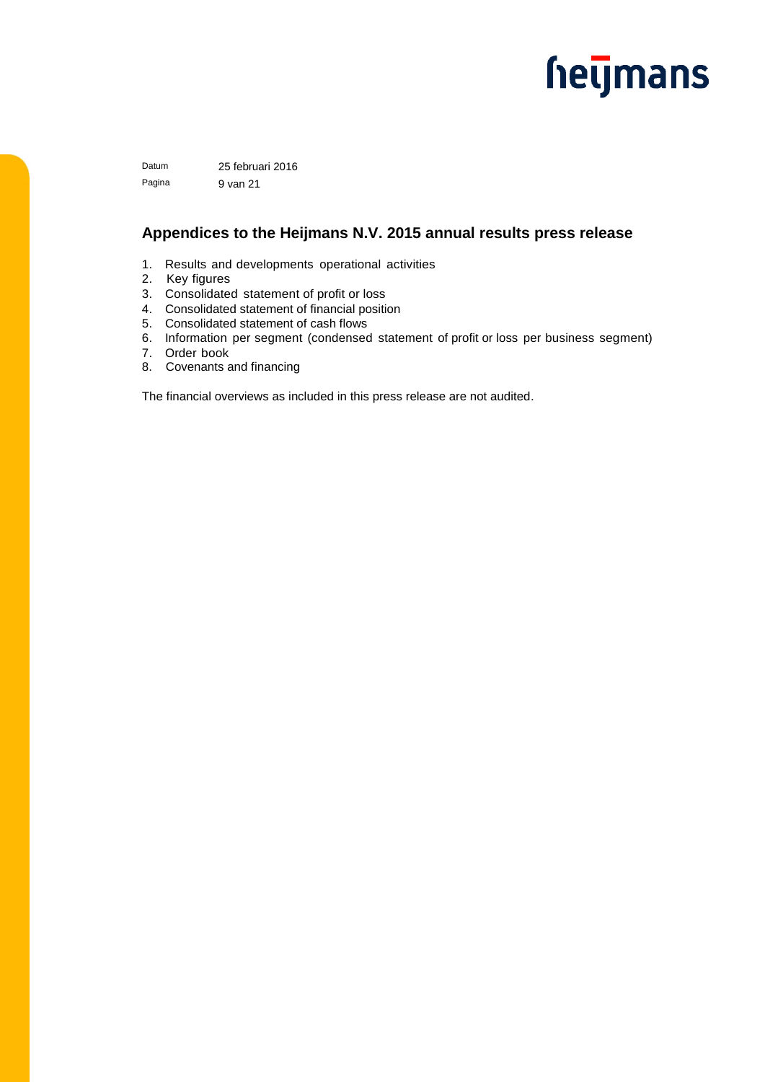### **hetjmans**

Datum 25 februari 2016 Pagina 9 van 21

#### **Appendices to the Heijmans N.V. 2015 annual results press release**

- 1. Results and developments operational activities
- 2. Key figures
- 3. Consolidated statement of profit or loss
- 4. Consolidated statement of financial position
- 5. Consolidated statement of cash flows
- 6. Information per segment (condensed statement of profit or loss per business segment)
- 7. Order book
- 8. Covenants and financing

The financial overviews as included in this press release are not audited.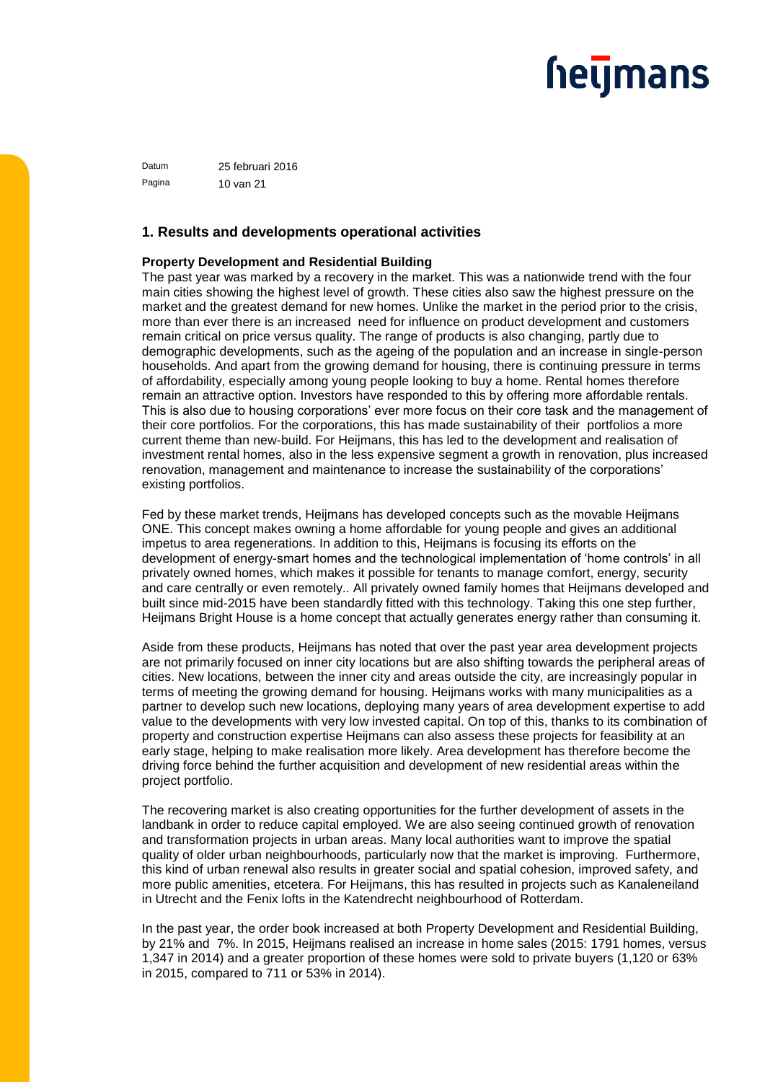Datum 25 februari 2016 Pagina 10 van 21

#### **1. Results and developments operational activities**

#### **Property Development and Residential Building**

The past year was marked by a recovery in the market. This was a nationwide trend with the four main cities showing the highest level of growth. These cities also saw the highest pressure on the market and the greatest demand for new homes. Unlike the market in the period prior to the crisis, more than ever there is an increased need for influence on product development and customers remain critical on price versus quality. The range of products is also changing, partly due to demographic developments, such as the ageing of the population and an increase in single-person households. And apart from the growing demand for housing, there is continuing pressure in terms of affordability, especially among young people looking to buy a home. Rental homes therefore remain an attractive option. Investors have responded to this by offering more affordable rentals. This is also due to housing corporations' ever more focus on their core task and the management of their core portfolios. For the corporations, this has made sustainability of their portfolios a more current theme than new-build. For Heijmans, this has led to the development and realisation of investment rental homes, also in the less expensive segment a growth in renovation, plus increased renovation, management and maintenance to increase the sustainability of the corporations' existing portfolios.

Fed by these market trends, Heijmans has developed concepts such as the movable Heijmans ONE. This concept makes owning a home affordable for young people and gives an additional impetus to area regenerations. In addition to this, Heijmans is focusing its efforts on the development of energy-smart homes and the technological implementation of 'home controls' in all privately owned homes, which makes it possible for tenants to manage comfort, energy, security and care centrally or even remotely.. All privately owned family homes that Heijmans developed and built since mid-2015 have been standardly fitted with this technology. Taking this one step further, Heijmans Bright House is a home concept that actually generates energy rather than consuming it.

Aside from these products, Heijmans has noted that over the past year area development projects are not primarily focused on inner city locations but are also shifting towards the peripheral areas of cities. New locations, between the inner city and areas outside the city, are increasingly popular in terms of meeting the growing demand for housing. Heijmans works with many municipalities as a partner to develop such new locations, deploying many years of area development expertise to add value to the developments with very low invested capital. On top of this, thanks to its combination of property and construction expertise Heijmans can also assess these projects for feasibility at an early stage, helping to make realisation more likely. Area development has therefore become the driving force behind the further acquisition and development of new residential areas within the project portfolio.

The recovering market is also creating opportunities for the further development of assets in the landbank in order to reduce capital employed. We are also seeing continued growth of renovation and transformation projects in urban areas. Many local authorities want to improve the spatial quality of older urban neighbourhoods, particularly now that the market is improving. Furthermore, this kind of urban renewal also results in greater social and spatial cohesion, improved safety, and more public amenities, etcetera. For Heijmans, this has resulted in projects such as Kanaleneiland in Utrecht and the Fenix lofts in the Katendrecht neighbourhood of Rotterdam.

In the past year, the order book increased at both Property Development and Residential Building, by 21% and 7%. In 2015, Heijmans realised an increase in home sales (2015: 1791 homes, versus 1,347 in 2014) and a greater proportion of these homes were sold to private buyers (1,120 or 63% in 2015, compared to 711 or 53% in 2014).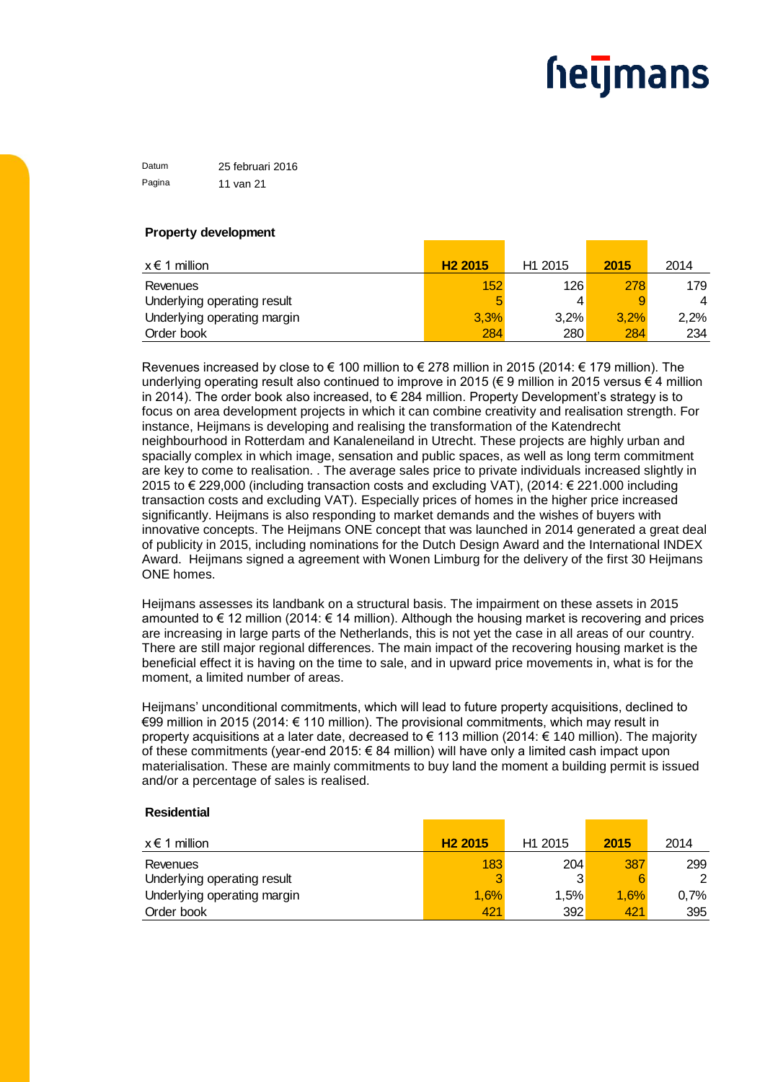Datum 25 februari 2016 Pagina 11 van 21

#### **Property development**

| $x \in 1$ million           | H <sub>2</sub> 2015 | H <sub>1</sub> 2015 | 2015 | 2014           |
|-----------------------------|---------------------|---------------------|------|----------------|
| Revenues                    | 152                 | 126                 | 278  | 179            |
| Underlying operating result | 5                   |                     | 9    | $\overline{4}$ |
| Underlying operating margin | 3,3%                | 3,2%                | 3,2% | 2,2%           |
| Order book                  | 284                 | 280                 | 284  | 234            |

Revenues increased by close to  $\in$  100 million to  $\in$  278 million in 2015 (2014:  $\in$  179 million). The underlying operating result also continued to improve in 2015 (€ 9 million in 2015 versus € 4 million in 2014). The order book also increased, to  $\epsilon$  284 million. Property Development's strategy is to focus on area development projects in which it can combine creativity and realisation strength. For instance, Heijmans is developing and realising the transformation of the Katendrecht neighbourhood in Rotterdam and Kanaleneiland in Utrecht. These projects are highly urban and spacially complex in which image, sensation and public spaces, as well as long term commitment are key to come to realisation. . The average sales price to private individuals increased slightly in 2015 to € 229,000 (including transaction costs and excluding VAT), (2014: € 221.000 including transaction costs and excluding VAT). Especially prices of homes in the higher price increased significantly. Heijmans is also responding to market demands and the wishes of buyers with innovative concepts. The Heijmans ONE concept that was launched in 2014 generated a great deal of publicity in 2015, including nominations for the Dutch Design Award and the International INDEX Award. Heijmans signed a agreement with Wonen Limburg for the delivery of the first 30 Heijmans ONE homes.

Heijmans assesses its landbank on a structural basis. The impairment on these assets in 2015 amounted to € 12 million (2014: € 14 million). Although the housing market is recovering and prices are increasing in large parts of the Netherlands, this is not yet the case in all areas of our country. There are still major regional differences. The main impact of the recovering housing market is the beneficial effect it is having on the time to sale, and in upward price movements in, what is for the moment, a limited number of areas.

Heijmans' unconditional commitments, which will lead to future property acquisitions, declined to €99 million in 2015 (2014: € 110 million). The provisional commitments, which may result in property acquisitions at a later date, decreased to € 113 million (2014: € 140 million). The majority of these commitments (year-end 2015: € 84 million) will have only a limited cash impact upon materialisation. These are mainly commitments to buy land the moment a building permit is issued and/or a percentage of sales is realised.

#### **Residential**

| $x \in 1$ million           | H <sub>2</sub> 2015 | H <sub>1</sub> 2015 | 2015 | 2014 |
|-----------------------------|---------------------|---------------------|------|------|
| Revenues                    | 183                 | 204                 | 387  | 299  |
| Underlying operating result |                     | 3                   |      | 2    |
| Underlying operating margin | 1,6%                | 1,5%                | 1.6% | 0.7% |
| Order book                  | 421                 | 392                 | 421  | 395  |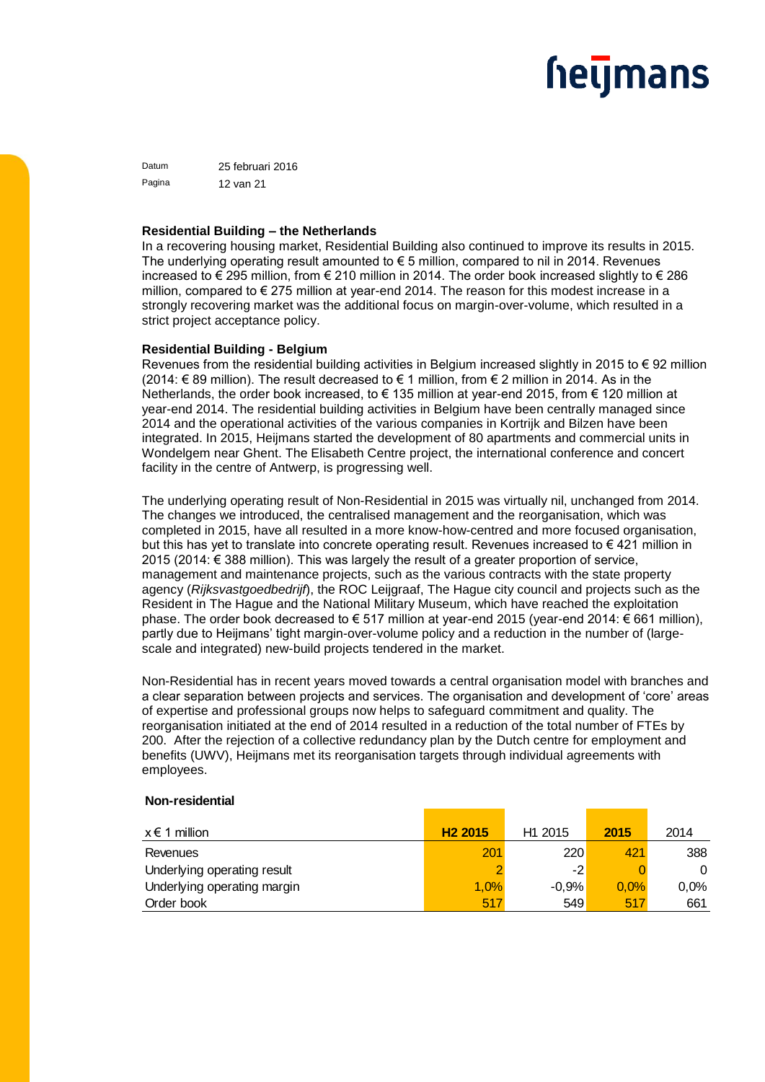## <u>heljmans</u>

Datum 25 februari 2016 Pagina 12 van 21

#### **Residential Building – the Netherlands**

In a recovering housing market, Residential Building also continued to improve its results in 2015. The underlying operating result amounted to  $\epsilon$  5 million, compared to nil in 2014. Revenues increased to € 295 million, from € 210 million in 2014. The order book increased slightly to € 286 million, compared to € 275 million at year-end 2014. The reason for this modest increase in a strongly recovering market was the additional focus on margin-over-volume, which resulted in a strict project acceptance policy.

#### **Residential Building - Belgium**

Revenues from the residential building activities in Belgium increased slightly in 2015 to  $\epsilon$  92 million (2014: € 89 million). The result decreased to € 1 million, from € 2 million in 2014. As in the Netherlands, the order book increased, to € 135 million at year-end 2015, from € 120 million at year-end 2014. The residential building activities in Belgium have been centrally managed since 2014 and the operational activities of the various companies in Kortrijk and Bilzen have been integrated. In 2015, Heijmans started the development of 80 apartments and commercial units in Wondelgem near Ghent. The Elisabeth Centre project, the international conference and concert facility in the centre of Antwerp, is progressing well.

The underlying operating result of Non-Residential in 2015 was virtually nil, unchanged from 2014. The changes we introduced, the centralised management and the reorganisation, which was completed in 2015, have all resulted in a more know-how-centred and more focused organisation, but this has yet to translate into concrete operating result. Revenues increased to € 421 million in 2015 (2014: € 388 million). This was largely the result of a greater proportion of service, management and maintenance projects, such as the various contracts with the state property agency (*Rijksvastgoedbedrijf*), the ROC Leijgraaf, The Hague city council and projects such as the Resident in The Hague and the National Military Museum, which have reached the exploitation phase. The order book decreased to € 517 million at year-end 2015 (year-end 2014: € 661 million), partly due to Heijmans' tight margin-over-volume policy and a reduction in the number of (largescale and integrated) new-build projects tendered in the market.

Non-Residential has in recent years moved towards a central organisation model with branches and a clear separation between projects and services. The organisation and development of 'core' areas of expertise and professional groups now helps to safeguard commitment and quality. The reorganisation initiated at the end of 2014 resulted in a reduction of the total number of FTEs by 200. After the rejection of a collective redundancy plan by the Dutch centre for employment and benefits (UWV), Heijmans met its reorganisation targets through individual agreements with employees.

#### **Non-residential**

| $x \in 1$ million           | H <sub>2</sub> 2015 | H <sub>1</sub> 2015 | 2015 | 2014 |
|-----------------------------|---------------------|---------------------|------|------|
| Revenues                    | 201                 | 220                 | 421  | 388  |
| Underlying operating result |                     | $-2$                |      | 0    |
| Underlying operating margin | 1.0%                | $-0.9%$             | 0.0% | 0,0% |
| Order book                  | 517                 | 549                 | 517  | 661  |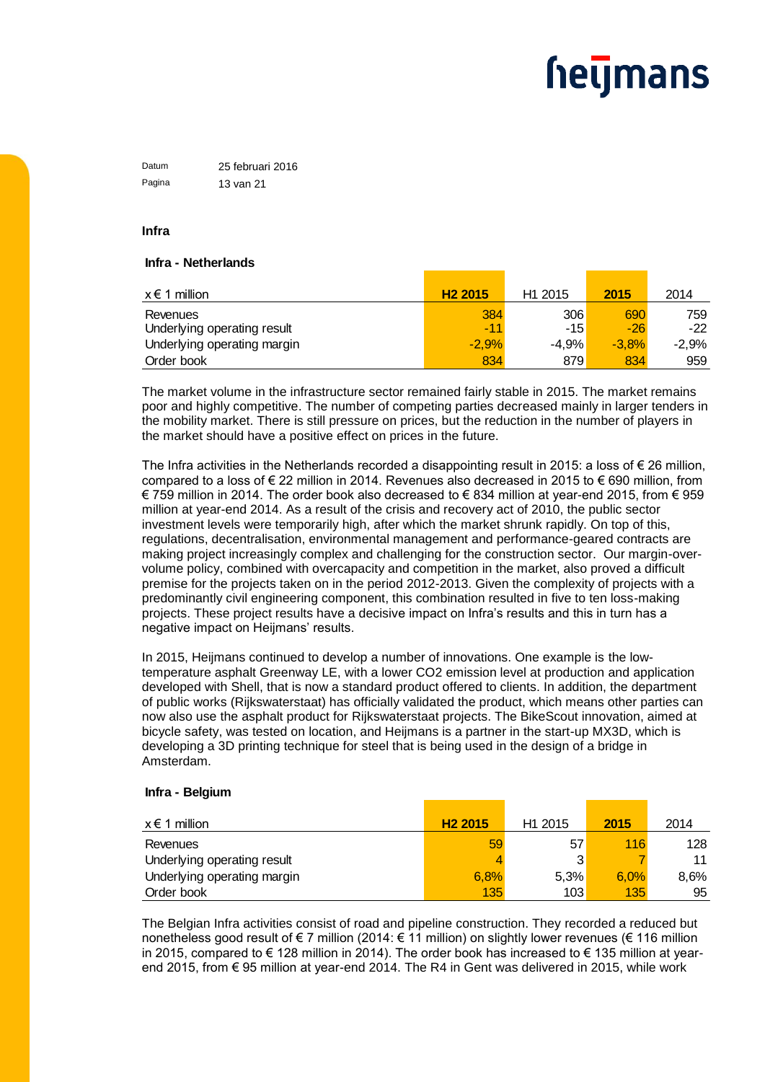Datum 25 februari 2016 Pagina 13 van 21

#### **Infra**

#### **Infra - Netherlands**

| $x \in 1$ million                       | H <sub>2</sub> 2015 | H <sub>1</sub> 2015 | 2015         | 2014         |
|-----------------------------------------|---------------------|---------------------|--------------|--------------|
| Revenues<br>Underlying operating result | 384<br>$-11$        | 306<br>$-15'$       | 690<br>$-26$ | 759<br>$-22$ |
| Underlying operating margin             | $-2.9%$             | $-4.9%$             | $-3.8%$      | -2.9%        |
| Order book                              | 834                 | 879                 | 834          | 959          |

The market volume in the infrastructure sector remained fairly stable in 2015. The market remains poor and highly competitive. The number of competing parties decreased mainly in larger tenders in the mobility market. There is still pressure on prices, but the reduction in the number of players in the market should have a positive effect on prices in the future.

The Infra activities in the Netherlands recorded a disappointing result in 2015: a loss of  $\epsilon$  26 million, compared to a loss of € 22 million in 2014. Revenues also decreased in 2015 to € 690 million, from € 759 million in 2014. The order book also decreased to € 834 million at year-end 2015, from € 959 million at year-end 2014. As a result of the crisis and recovery act of 2010, the public sector investment levels were temporarily high, after which the market shrunk rapidly. On top of this, regulations, decentralisation, environmental management and performance-geared contracts are making project increasingly complex and challenging for the construction sector. Our margin-overvolume policy, combined with overcapacity and competition in the market, also proved a difficult premise for the projects taken on in the period 2012-2013. Given the complexity of projects with a predominantly civil engineering component, this combination resulted in five to ten loss-making projects. These project results have a decisive impact on Infra's results and this in turn has a negative impact on Heijmans' results.

In 2015, Heijmans continued to develop a number of innovations. One example is the lowtemperature asphalt Greenway LE, with a lower CO2 emission level at production and application developed with Shell, that is now a standard product offered to clients. In addition, the department of public works (Rijkswaterstaat) has officially validated the product, which means other parties can now also use the asphalt product for Rijkswaterstaat projects. The BikeScout innovation, aimed at bicycle safety, was tested on location, and Heijmans is a partner in the start-up MX3D, which is developing a 3D printing technique for steel that is being used in the design of a bridge in Amsterdam.

#### **Infra - Belgium**

| $x \in 1$ million           | H <sub>2</sub> 2015 | H <sub>1</sub> 2015 | 2015 | 2014 |
|-----------------------------|---------------------|---------------------|------|------|
| Revenues                    | 59                  | 57                  | 116  | 128  |
| Underlying operating result |                     | 3 <sub>1</sub>      |      | 11   |
| Underlying operating margin | 6.8%                | 5.3%                | 6.0% | 8.6% |
| Order book                  | 135                 | 103                 | 135  | 95   |

The Belgian Infra activities consist of road and pipeline construction. They recorded a reduced but nonetheless good result of € 7 million (2014: € 11 million) on slightly lower revenues (€ 116 million in 2015, compared to € 128 million in 2014). The order book has increased to € 135 million at yearend 2015, from € 95 million at year-end 2014. The R4 in Gent was delivered in 2015, while work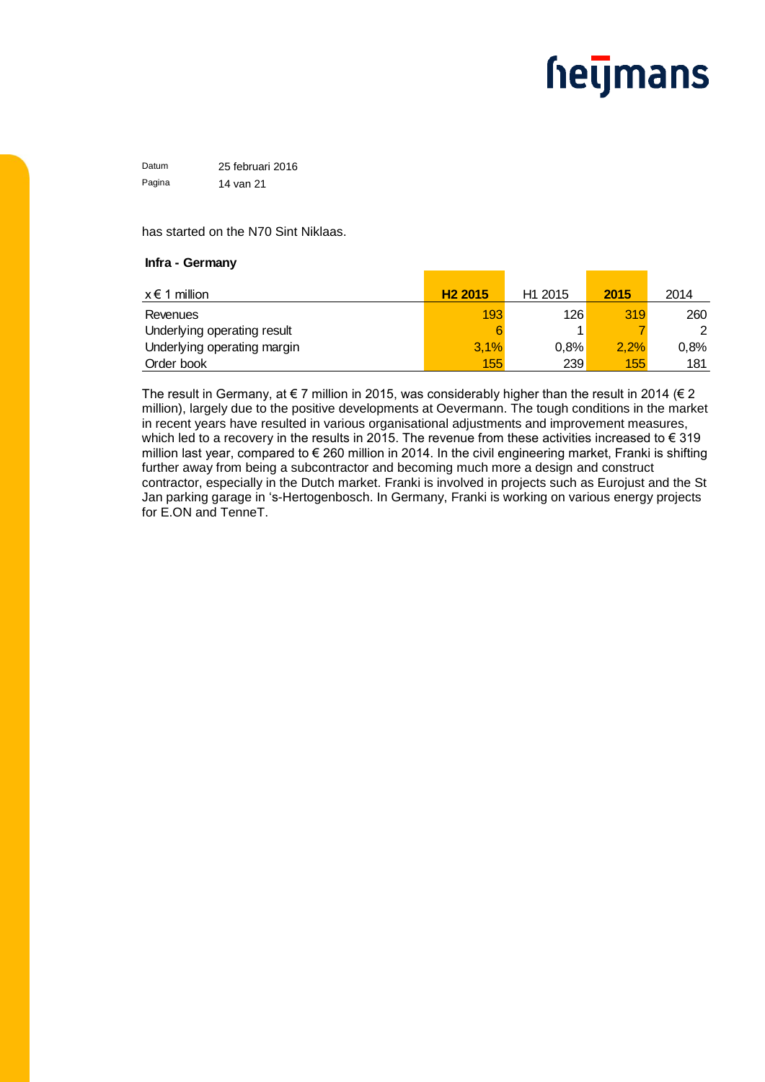Datum 25 februari 2016 Pagina 14 van 21

has started on the N70 Sint Niklaas.

#### **Infra - Germany**

| $x \in 1$ million           | H <sub>2</sub> 2015 | H <sub>1</sub> 2015 | 2015 | 2014 |
|-----------------------------|---------------------|---------------------|------|------|
| Revenues                    | 193                 | 126                 | 319  | 260  |
| Underlying operating result | 6                   |                     |      | 2    |
| Underlying operating margin | 3,1%                | 0.8%                | 2,2% | 0.8% |
| Order book                  | 155                 | 239                 | 155  | 181  |

The result in Germany, at  $\epsilon$  7 million in 2015, was considerably higher than the result in 2014 ( $\epsilon$  2 million), largely due to the positive developments at Oevermann. The tough conditions in the market in recent years have resulted in various organisational adjustments and improvement measures, which led to a recovery in the results in 2015. The revenue from these activities increased to € 319 million last year, compared to € 260 million in 2014. In the civil engineering market, Franki is shifting further away from being a subcontractor and becoming much more a design and construct contractor, especially in the Dutch market. Franki is involved in projects such as Eurojust and the St Jan parking garage in 's-Hertogenbosch. In Germany, Franki is working on various energy projects for E.ON and TenneT.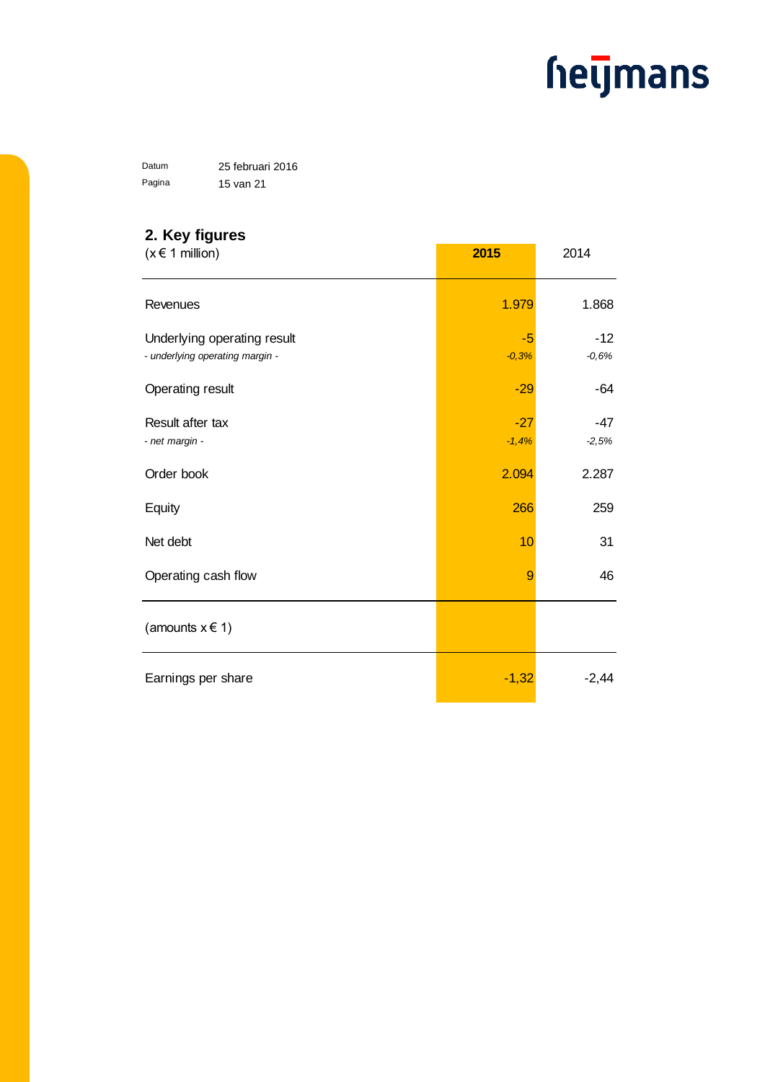Datum 25 februari 2016 Pagina 15 van 21

### **2. Key figures**

| $(x \in 1$ million)                                            | 2015             | 2014             |
|----------------------------------------------------------------|------------------|------------------|
| Revenues                                                       | 1.979            | 1.868            |
| Underlying operating result<br>- underlying operating margin - | $-5$<br>$-0,3%$  | $-12$<br>$-0,6%$ |
| Operating result                                               | $-29$            | $-64$            |
| Result after tax<br>- net margin -                             | $-27$<br>$-1,4%$ | -47<br>$-2,5%$   |
| Order book                                                     | 2.094            | 2.287            |
| Equity                                                         | 266              | 259              |
| Net debt                                                       | 10               | 31               |
| Operating cash flow                                            | 9                | 46               |
| (amounts $x \in 1$ )                                           |                  |                  |
| Earnings per share                                             | $-1,32$          | $-2,44$          |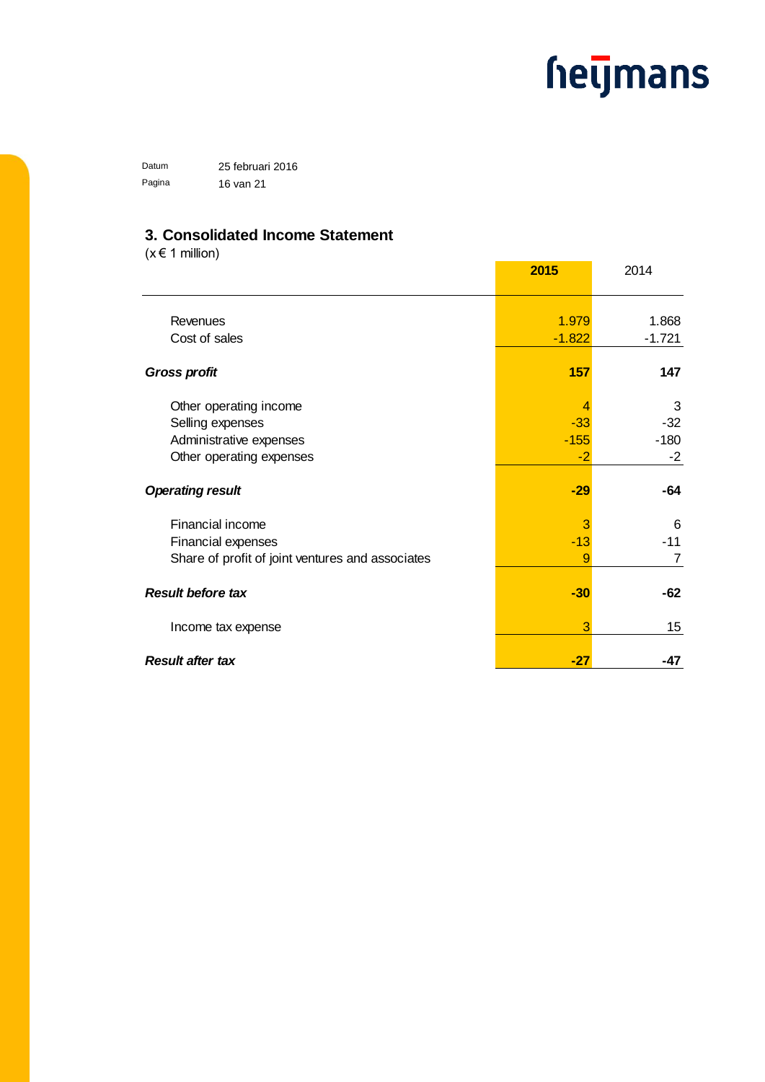Datum 25 februari 2016 Pagina 16 van 21

### **3. Consolidated Income Statement**

 $(x \in 1$  million)

|                                                  | 2015     | 2014             |
|--------------------------------------------------|----------|------------------|
|                                                  |          |                  |
| Revenues                                         | 1.979    | 1.868            |
| Cost of sales                                    | $-1.822$ | $-1.721$         |
| <b>Gross profit</b>                              | 157      | 147              |
| Other operating income                           | 4        | 3                |
| Selling expenses                                 | $-33$    | -32              |
| Administrative expenses                          | $-155$   | $-180$           |
| Other operating expenses                         | $-2$     | $-2$             |
| <b>Operating result</b>                          | $-29$    | -64              |
| Financial income                                 | 3        | 6                |
| <b>Financial expenses</b>                        | $-13$    | $-11$            |
| Share of profit of joint ventures and associates | 9        | 7                |
| <b>Result before tax</b>                         | $-30$    | $-62$            |
| Income tax expense                               | 3        | 15 <sub>15</sub> |
| <b>Result after tax</b>                          | -27      | -47              |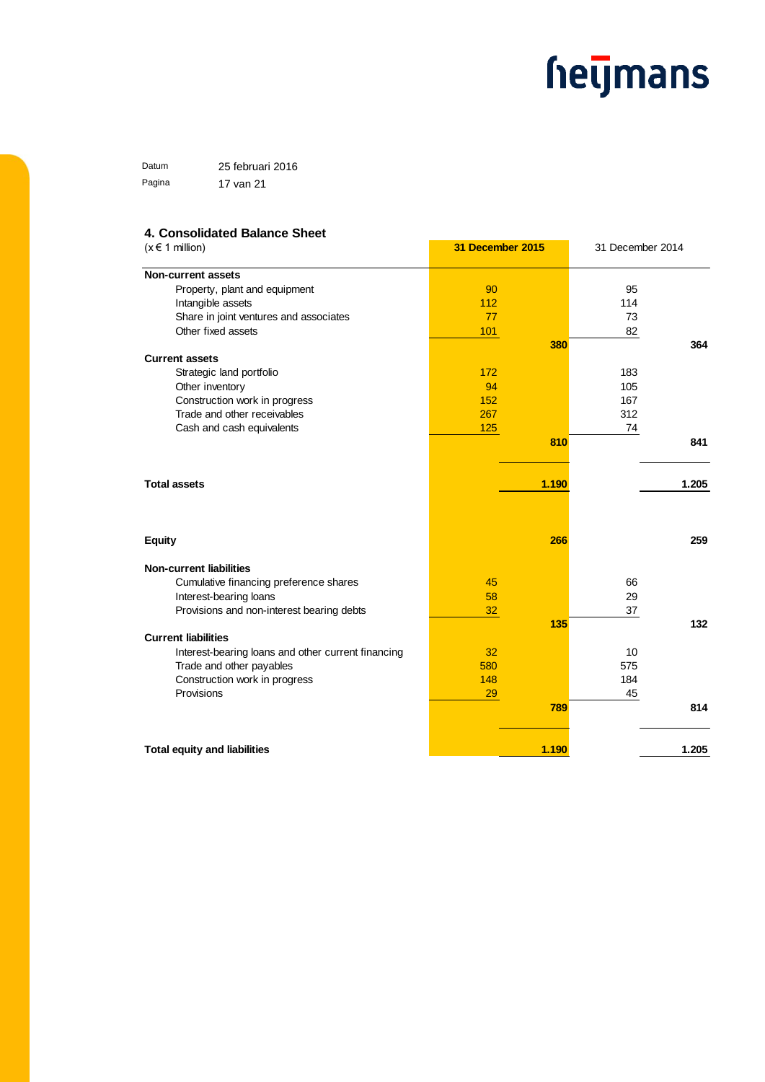Datum 25 februari 2016 Pagina 17 van 21

#### **4. Consolidated Balance Sheet**

| $(x \in 1$ million)                                | 31 December 2015 |       | 31 December 2014 |       |
|----------------------------------------------------|------------------|-------|------------------|-------|
| <b>Non-current assets</b>                          |                  |       |                  |       |
| Property, plant and equipment                      | 90               |       | 95               |       |
| Intangible assets                                  | 112              |       | 114              |       |
| Share in joint ventures and associates             | 77               |       | 73               |       |
| Other fixed assets                                 | 101              |       | 82               |       |
|                                                    |                  | 380   |                  | 364   |
| <b>Current assets</b>                              |                  |       |                  |       |
| Strategic land portfolio                           | 172              |       | 183              |       |
| Other inventory                                    | 94               |       | 105              |       |
| Construction work in progress                      | 152              |       | 167              |       |
| Trade and other receivables                        | 267              |       | 312              |       |
| Cash and cash equivalents                          | 125              |       | 74               |       |
|                                                    |                  | 810   |                  | 841   |
| <b>Total assets</b>                                |                  | 1.190 |                  | 1.205 |
|                                                    |                  |       |                  |       |
| <b>Equity</b>                                      |                  | 266   |                  | 259   |
| <b>Non-current liabilities</b>                     |                  |       |                  |       |
| Cumulative financing preference shares             | 45               |       | 66               |       |
| Interest-bearing loans                             | 58               |       | 29               |       |
| Provisions and non-interest bearing debts          | 32               |       | 37               |       |
|                                                    |                  | 135   |                  | 132   |
| <b>Current liabilities</b>                         |                  |       |                  |       |
| Interest-bearing loans and other current financing | 32               |       | 10               |       |
| Trade and other payables                           | 580              |       | 575              |       |
| Construction work in progress                      | 148              |       | 184              |       |
| Provisions                                         | 29               |       | 45               |       |
|                                                    |                  | 789   |                  | 814   |
| <b>Total equity and liabilities</b>                |                  | 1.190 |                  | 1.205 |
|                                                    |                  |       |                  |       |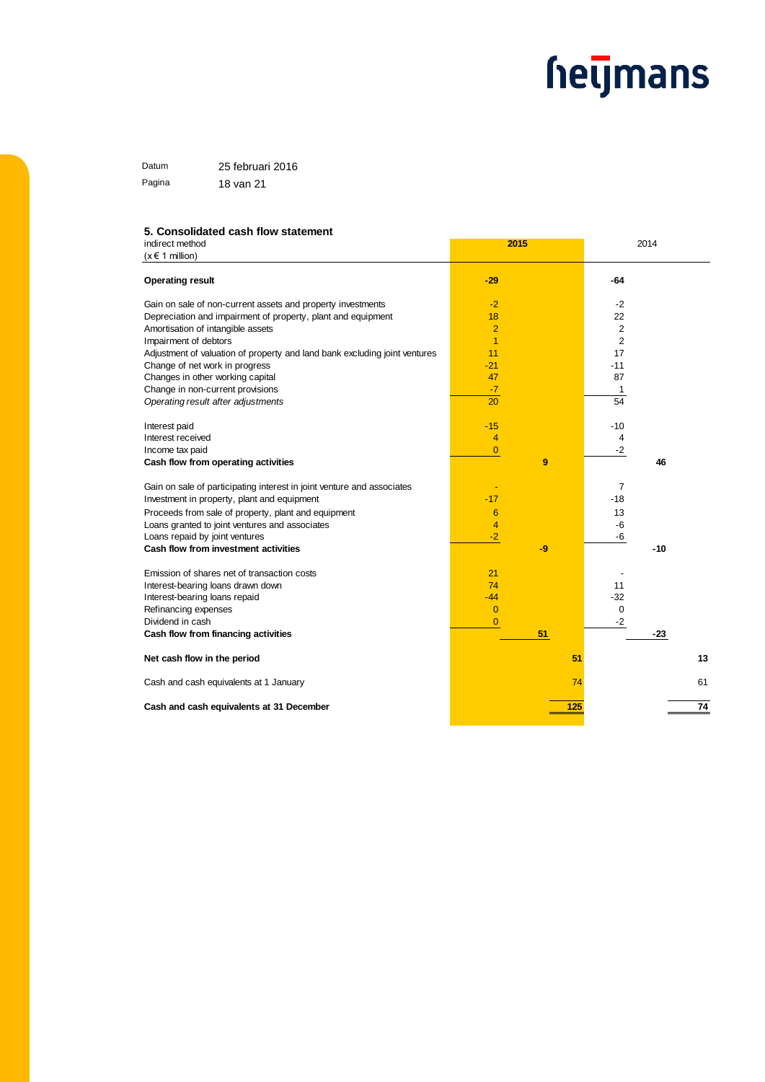Datum 25 februari 2016 Pagina 18 van 21

#### **5. Consolidated cash flow statement**

| indirect method                                                            | 2015           | 2014           |    |
|----------------------------------------------------------------------------|----------------|----------------|----|
| $(x \in 1$ million)                                                        |                |                |    |
| <b>Operating result</b>                                                    | $-29$          | $-64$          |    |
| Gain on sale of non-current assets and property investments                | $-2$           | -2             |    |
| Depreciation and impairment of property, plant and equipment               | 18             | 22             |    |
| Amortisation of intangible assets                                          | $\overline{2}$ | $\overline{2}$ |    |
| Impairment of debtors                                                      | $\overline{1}$ | $\overline{2}$ |    |
| Adjustment of valuation of property and land bank excluding joint ventures | 11             | 17             |    |
| Change of net work in progress                                             | $-21$          | $-11$          |    |
| Changes in other working capital                                           | 47             | 87             |    |
| Change in non-current provisions                                           | $-7$           | 1              |    |
| Operating result after adjustments                                         | 20             | 54             |    |
| Interest paid                                                              | $-15$          | $-10$          |    |
| Interest received                                                          | 4              | 4              |    |
| Income tax paid                                                            | $\overline{0}$ | $-2$           |    |
| Cash flow from operating activities                                        | 9              | 46             |    |
| Gain on sale of participating interest in joint venture and associates     |                | $\overline{7}$ |    |
| Investment in property, plant and equipment                                | $-17$          | $-18$          |    |
| Proceeds from sale of property, plant and equipment                        | 6              | 13             |    |
| Loans granted to joint ventures and associates                             | $\overline{4}$ | $-6$           |    |
| Loans repaid by joint ventures                                             | $-2$           | -6             |    |
| Cash flow from investment activities                                       | -9             | $-10$          |    |
| Emission of shares net of transaction costs                                | 21             |                |    |
| Interest-bearing loans drawn down                                          | 74             | 11             |    |
| Interest-bearing loans repaid                                              | $-44$          | $-32$          |    |
| Refinancing expenses                                                       | $\overline{0}$ | 0              |    |
| Dividend in cash                                                           | $\overline{0}$ | $-2$           |    |
| Cash flow from financing activities                                        | 51             | $-23$          |    |
| Net cash flow in the period                                                |                | 51             | 13 |
| Cash and cash equivalents at 1 January                                     |                | 74             | 61 |
| Cash and cash equivalents at 31 December                                   |                | 125            | 74 |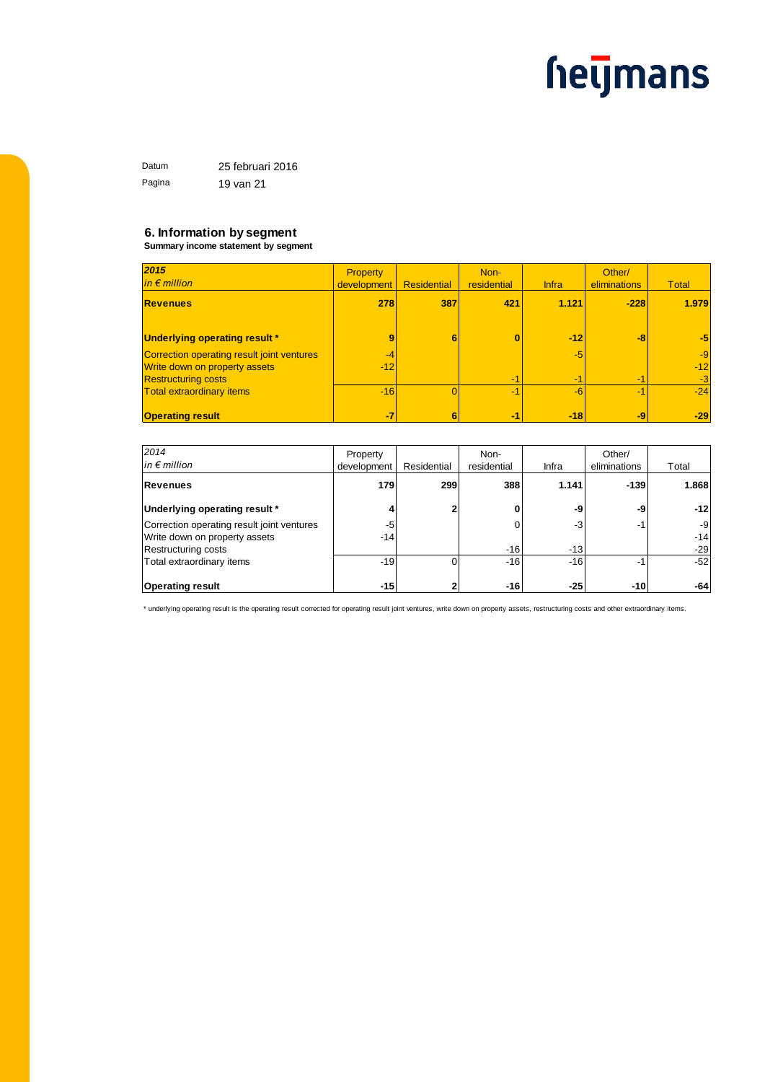Datum 25 februari 2016 Pagina 19 van 21

#### **6. Information by segment**

**Summary income statement by segment**

| 2015                                       | <b>Property</b> |                    | Non-        |              | Other/       |              |
|--------------------------------------------|-----------------|--------------------|-------------|--------------|--------------|--------------|
| $in \in$ million                           | development     | <b>Residential</b> | residential | <b>Infra</b> | eliminations | <b>Total</b> |
| <b>Revenues</b>                            | 278             | 387                | 421         | 1.121        | $-228$       | 1.979        |
| Underlying operating result *              | 9               | 6                  |             | $-12$        | -8           | $-5$         |
| Correction operating result joint ventures | $-4$            |                    |             | $-5$         |              | $-9$         |
| Write down on property assets              | $-12$           |                    |             |              |              | $-12$        |
| <b>Restructuring costs</b>                 |                 |                    | -1          | -1           | -1           | $-3$         |
| <b>Total extraordinary items</b>           | $-16$           |                    |             | $-6$         | $-1$         | $-24$        |
|                                            |                 |                    |             |              |              |              |
| <b>Operating result</b>                    | -7              | 6                  | $-1$        | $-18$        | -9           | $-29$        |

| 2014                                       | Property    |             | Non-        |       | Other/                   |       |
|--------------------------------------------|-------------|-------------|-------------|-------|--------------------------|-------|
| $in \in$ million                           | development | Residential | residential | Infra | eliminations             | Total |
| Revenues                                   | 179         | 299         | 388         | 1.141 | $-139$                   | 1.868 |
| Underlying operating result *              | 4           | 2           |             | -9    | -9                       | $-12$ |
| Correction operating result joint ventures | -5          |             |             | -3    | -1                       | $-9$  |
| Write down on property assets              | $-14$       |             |             |       |                          | $-14$ |
| Restructuring costs                        |             |             | $-16$       | $-13$ |                          | $-29$ |
| Total extraordinary items                  | $-19$       |             | $-16$       | $-16$ | $\overline{\phantom{a}}$ | $-52$ |
| <b>Operating result</b>                    | $-15$       |             | -161        | -251  | $-10$                    | $-64$ |

\* underlying operating result is the operating result corrected for operating result joint ventures, write down on property assets, restructuring costs and other extraordinary items.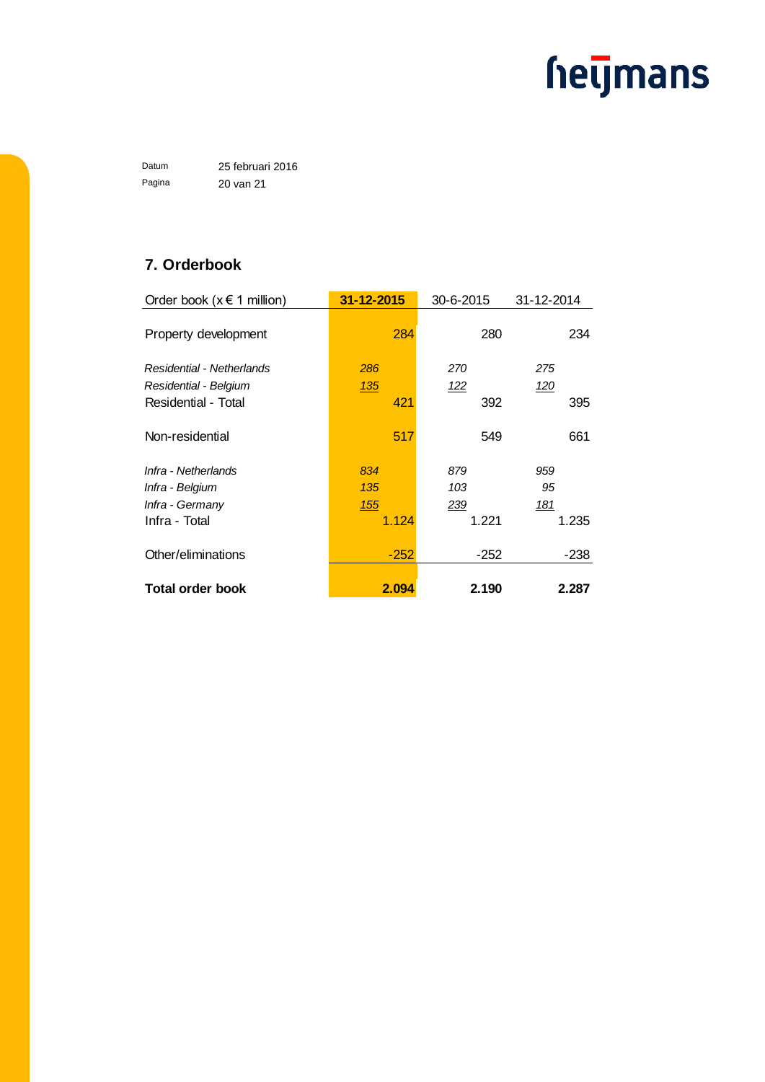Datum 25 februari 2016 Pagina 20 van 21

### **7. Orderbook**

| Order book ( $x \in 1$ million) | 31-12-2015 | 30-6-2015  | 31-12-2014 |
|---------------------------------|------------|------------|------------|
| Property development            | 284        | 280        | 234        |
| Residential - Netherlands       | 286        | 270        | 275        |
| Residential - Belgium           | 135        | <u>122</u> | <u>120</u> |
| Residential - Total             | 421        | 392        | 395        |
| Non-residential                 | 517        | 549        | 661        |
| Infra - Netherlands             | 834        | 879        | 959        |
| Infra - Belgium                 | 135        | 103        | 95         |
| Infra - Germany                 | 155        | 239        | 181        |
| Infra - Total                   | 1.124      | 1.221      | 1.235      |
| Other/eliminations              | $-252$     | $-252$     | -238       |
| <b>Total order book</b>         | 2.094      | 2.190      | 2.287      |